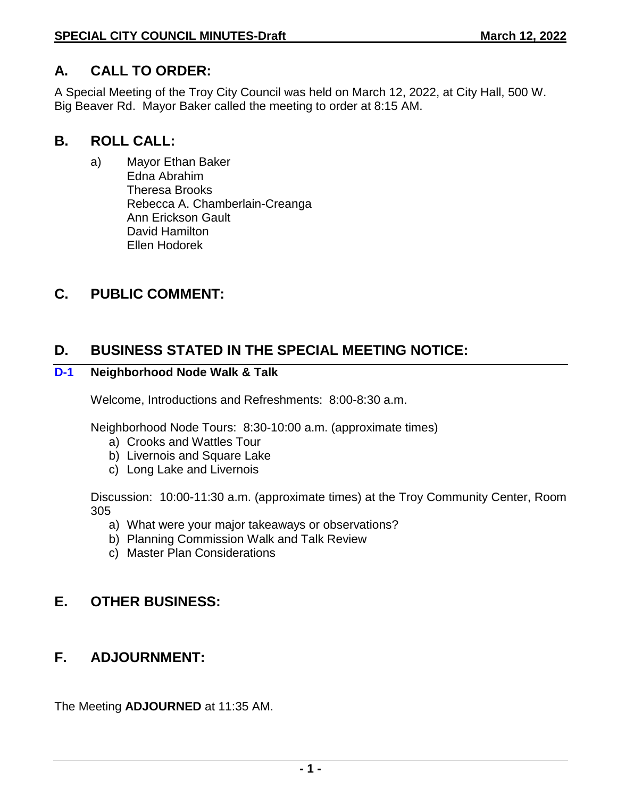### **A. CALL TO ORDER:**

A Special Meeting of the Troy City Council was held on March 12, 2022, at City Hall, 500 W. Big Beaver Rd. Mayor Baker called the meeting to order at 8:15 AM.

### **B. ROLL CALL:**

a) Mayor Ethan Baker Edna Abrahim Theresa Brooks Rebecca A. Chamberlain-Creanga Ann Erickson Gault David Hamilton Ellen Hodorek

### **C. PUBLIC COMMENT:**

### **D. BUSINESS STATED IN THE SPECIAL MEETING NOTICE:**

#### **D-1 Neighborhood Node Walk & Talk**

Welcome, Introductions and Refreshments: 8:00-8:30 a.m.

Neighborhood Node Tours: 8:30-10:00 a.m. (approximate times)

- a) Crooks and Wattles Tour
- b) Livernois and Square Lake
- c) Long Lake and Livernois

Discussion: 10:00-11:30 a.m. (approximate times) at the Troy Community Center, Room 305

- a) What were your major takeaways or observations?
- b) Planning Commission Walk and Talk Review
- c) Master Plan Considerations

# **E. OTHER BUSINESS:**

# **F. ADJOURNMENT:**

The Meeting **ADJOURNED** at 11:35 AM.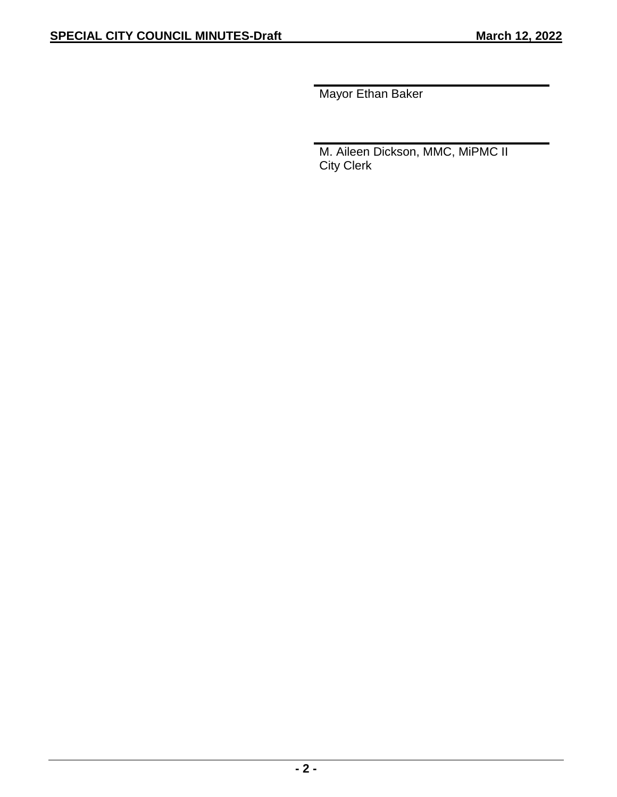Mayor Ethan Baker

M. Aileen Dickson, MMC, MiPMC II City Clerk